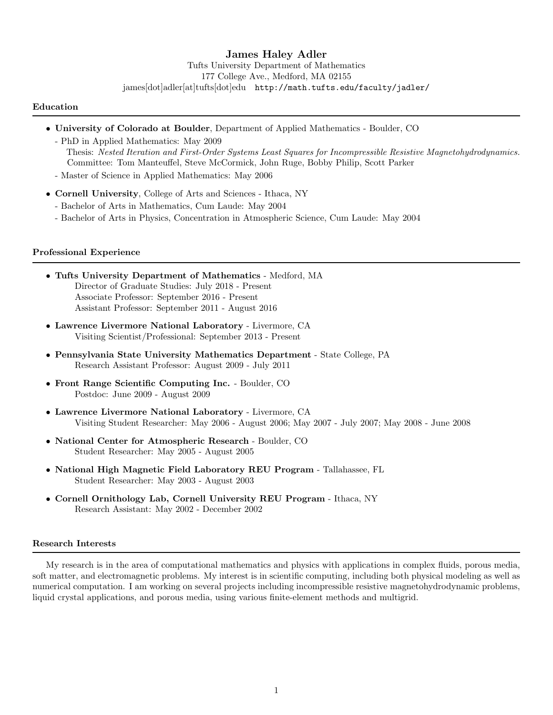# James Haley Adler

Tufts University Department of Mathematics 177 College Ave., Medford, MA 02155 james[dot]adler[at]tufts[dot]edu http://math.tufts.edu/faculty/jadler/

#### Education

- University of Colorado at Boulder, Department of Applied Mathematics Boulder, CO
	- PhD in Applied Mathematics: May 2009 Thesis: Nested Iteration and First-Order Systems Least Squares for Incompressible Resistive Magnetohydrodynamics. Committee: Tom Manteuffel, Steve McCormick, John Ruge, Bobby Philip, Scott Parker
	- Master of Science in Applied Mathematics: May 2006
- Cornell University, College of Arts and Sciences Ithaca, NY
	- Bachelor of Arts in Mathematics, Cum Laude: May 2004
	- Bachelor of Arts in Physics, Concentration in Atmospheric Science, Cum Laude: May 2004

#### Professional Experience

- Tufts University Department of Mathematics Medford, MA Director of Graduate Studies: July 2018 - Present Associate Professor: September 2016 - Present Assistant Professor: September 2011 - August 2016
- Lawrence Livermore National Laboratory Livermore, CA Visiting Scientist/Professional: September 2013 - Present
- Pennsylvania State University Mathematics Department State College, PA Research Assistant Professor: August 2009 - July 2011
- Front Range Scientific Computing Inc. Boulder, CO Postdoc: June 2009 - August 2009
- Lawrence Livermore National Laboratory Livermore, CA Visiting Student Researcher: May 2006 - August 2006; May 2007 - July 2007; May 2008 - June 2008
- National Center for Atmospheric Research Boulder, CO Student Researcher: May 2005 - August 2005
- National High Magnetic Field Laboratory REU Program Tallahassee, FL Student Researcher: May 2003 - August 2003
- Cornell Ornithology Lab, Cornell University REU Program Ithaca, NY Research Assistant: May 2002 - December 2002

#### Research Interests

My research is in the area of computational mathematics and physics with applications in complex fluids, porous media, soft matter, and electromagnetic problems. My interest is in scientific computing, including both physical modeling as well as numerical computation. I am working on several projects including incompressible resistive magnetohydrodynamic problems, liquid crystal applications, and porous media, using various finite-element methods and multigrid.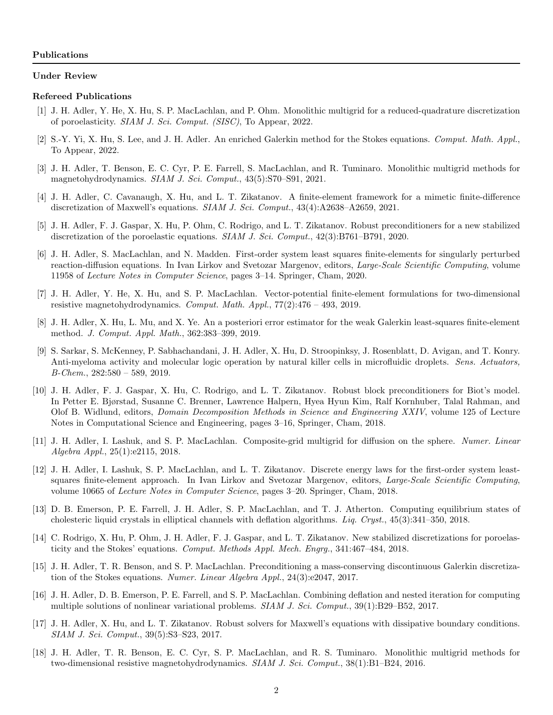#### Under Review

#### Refereed Publications

- [1] J. H. Adler, Y. He, X. Hu, S. P. MacLachlan, and P. Ohm. Monolithic multigrid for a reduced-quadrature discretization of poroelasticity. SIAM J. Sci. Comput. (SISC), To Appear, 2022.
- [2] S.-Y. Yi, X. Hu, S. Lee, and J. H. Adler. An enriched Galerkin method for the Stokes equations. Comput. Math. Appl., To Appear, 2022.
- [3] J. H. Adler, T. Benson, E. C. Cyr, P. E. Farrell, S. MacLachlan, and R. Tuminaro. Monolithic multigrid methods for magnetohydrodynamics. SIAM J. Sci. Comput., 43(5):S70–S91, 2021.
- [4] J. H. Adler, C. Cavanaugh, X. Hu, and L. T. Zikatanov. A finite-element framework for a mimetic finite-difference discretization of Maxwell's equations. SIAM J. Sci. Comput., 43(4):A2638–A2659, 2021.
- [5] J. H. Adler, F. J. Gaspar, X. Hu, P. Ohm, C. Rodrigo, and L. T. Zikatanov. Robust preconditioners for a new stabilized discretization of the poroelastic equations. SIAM J. Sci. Comput., 42(3):B761–B791, 2020.
- [6] J. H. Adler, S. MacLachlan, and N. Madden. First-order system least squares finite-elements for singularly perturbed reaction-diffusion equations. In Ivan Lirkov and Svetozar Margenov, editors, Large-Scale Scientific Computing, volume 11958 of Lecture Notes in Computer Science, pages 3–14. Springer, Cham, 2020.
- [7] J. H. Adler, Y. He, X. Hu, and S. P. MacLachlan. Vector-potential finite-element formulations for two-dimensional resistive magnetohydrodynamics. Comput. Math.  $Appl, 77(2):476 - 493, 2019$ .
- [8] J. H. Adler, X. Hu, L. Mu, and X. Ye. An a posteriori error estimator for the weak Galerkin least-squares finite-element method. J. Comput. Appl. Math., 362:383–399, 2019.
- [9] S. Sarkar, S. McKenney, P. Sabhachandani, J. H. Adler, X. Hu, D. Stroopinksy, J. Rosenblatt, D. Avigan, and T. Konry. Anti-myeloma activity and molecular logic operation by natural killer cells in microfluidic droplets. Sens. Actuators, B-Chem., 282:580 – 589, 2019.
- [10] J. H. Adler, F. J. Gaspar, X. Hu, C. Rodrigo, and L. T. Zikatanov. Robust block preconditioners for Biot's model. In Petter E. Bjørstad, Susanne C. Brenner, Lawrence Halpern, Hyea Hyun Kim, Ralf Kornhuber, Talal Rahman, and Olof B. Widlund, editors, Domain Decomposition Methods in Science and Engineering XXIV, volume 125 of Lecture Notes in Computational Science and Engineering, pages 3–16, Springer, Cham, 2018.
- [11] J. H. Adler, I. Lashuk, and S. P. MacLachlan. Composite-grid multigrid for diffusion on the sphere. Numer. Linear Algebra Appl., 25(1):e2115, 2018.
- [12] J. H. Adler, I. Lashuk, S. P. MacLachlan, and L. T. Zikatanov. Discrete energy laws for the first-order system leastsquares finite-element approach. In Ivan Lirkov and Svetozar Margenov, editors, Large-Scale Scientific Computing, volume 10665 of Lecture Notes in Computer Science, pages 3–20. Springer, Cham, 2018.
- [13] D. B. Emerson, P. E. Farrell, J. H. Adler, S. P. MacLachlan, and T. J. Atherton. Computing equilibrium states of cholesteric liquid crystals in elliptical channels with deflation algorithms. Liq. Cryst., 45(3):341–350, 2018.
- [14] C. Rodrigo, X. Hu, P. Ohm, J. H. Adler, F. J. Gaspar, and L. T. Zikatanov. New stabilized discretizations for poroelasticity and the Stokes' equations. Comput. Methods Appl. Mech. Engrg., 341:467–484, 2018.
- [15] J. H. Adler, T. R. Benson, and S. P. MacLachlan. Preconditioning a mass-conserving discontinuous Galerkin discretization of the Stokes equations. Numer. Linear Algebra Appl., 24(3):e2047, 2017.
- [16] J. H. Adler, D. B. Emerson, P. E. Farrell, and S. P. MacLachlan. Combining deflation and nested iteration for computing multiple solutions of nonlinear variational problems. *SIAM J. Sci. Comput.*, 39(1):B29–B52, 2017.
- [17] J. H. Adler, X. Hu, and L. T. Zikatanov. Robust solvers for Maxwell's equations with dissipative boundary conditions. SIAM J. Sci. Comput., 39(5):S3–S23, 2017.
- [18] J. H. Adler, T. R. Benson, E. C. Cyr, S. P. MacLachlan, and R. S. Tuminaro. Monolithic multigrid methods for two-dimensional resistive magnetohydrodynamics. SIAM J. Sci. Comput., 38(1):B1–B24, 2016.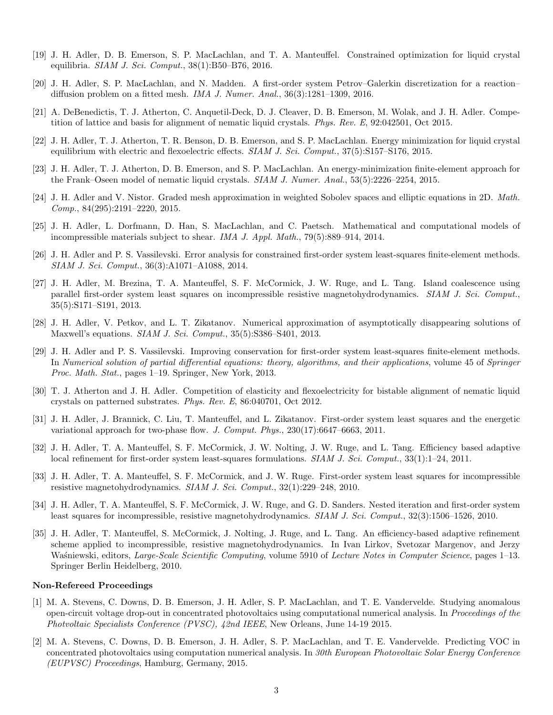- [19] J. H. Adler, D. B. Emerson, S. P. MacLachlan, and T. A. Manteuffel. Constrained optimization for liquid crystal equilibria. SIAM J. Sci. Comput., 38(1):B50–B76, 2016.
- [20] J. H. Adler, S. P. MacLachlan, and N. Madden. A first-order system Petrov–Galerkin discretization for a reaction– diffusion problem on a fitted mesh. IMA J. Numer. Anal., 36(3):1281–1309, 2016.
- [21] A. DeBenedictis, T. J. Atherton, C. Anquetil-Deck, D. J. Cleaver, D. B. Emerson, M. Wolak, and J. H. Adler. Competition of lattice and basis for alignment of nematic liquid crystals. Phys. Rev. E, 92:042501, Oct 2015.
- [22] J. H. Adler, T. J. Atherton, T. R. Benson, D. B. Emerson, and S. P. MacLachlan. Energy minimization for liquid crystal equilibrium with electric and flexoelectric effects. *SIAM J. Sci. Comput.*, 37(5):S157–S176, 2015.
- [23] J. H. Adler, T. J. Atherton, D. B. Emerson, and S. P. MacLachlan. An energy-minimization finite-element approach for the Frank–Oseen model of nematic liquid crystals. SIAM J. Numer. Anal., 53(5):2226–2254, 2015.
- [24] J. H. Adler and V. Nistor. Graded mesh approximation in weighted Sobolev spaces and elliptic equations in 2D. Math. Comp., 84(295):2191–2220, 2015.
- [25] J. H. Adler, L. Dorfmann, D. Han, S. MacLachlan, and C. Paetsch. Mathematical and computational models of incompressible materials subject to shear. IMA J. Appl. Math., 79(5):889–914, 2014.
- [26] J. H. Adler and P. S. Vassilevski. Error analysis for constrained first-order system least-squares finite-element methods. SIAM J. Sci. Comput., 36(3):A1071–A1088, 2014.
- [27] J. H. Adler, M. Brezina, T. A. Manteuffel, S. F. McCormick, J. W. Ruge, and L. Tang. Island coalescence using parallel first-order system least squares on incompressible resistive magnetohydrodynamics. SIAM J. Sci. Comput., 35(5):S171–S191, 2013.
- [28] J. H. Adler, V. Petkov, and L. T. Zikatanov. Numerical approximation of asymptotically disappearing solutions of Maxwell's equations. SIAM J. Sci. Comput., 35(5):S386–S401, 2013.
- [29] J. H. Adler and P. S. Vassilevski. Improving conservation for first-order system least-squares finite-element methods. In Numerical solution of partial differential equations: theory, algorithms, and their applications, volume 45 of Springer Proc. Math. Stat., pages 1–19. Springer, New York, 2013.
- [30] T. J. Atherton and J. H. Adler. Competition of elasticity and flexoelectricity for bistable alignment of nematic liquid crystals on patterned substrates. Phys. Rev. E, 86:040701, Oct 2012.
- [31] J. H. Adler, J. Brannick, C. Liu, T. Manteuffel, and L. Zikatanov. First-order system least squares and the energetic variational approach for two-phase flow. J. Comput. Phys., 230(17):6647–6663, 2011.
- [32] J. H. Adler, T. A. Manteuffel, S. F. McCormick, J. W. Nolting, J. W. Ruge, and L. Tang. Efficiency based adaptive local refinement for first-order system least-squares formulations. SIAM J. Sci. Comput., 33(1):1–24, 2011.
- [33] J. H. Adler, T. A. Manteuffel, S. F. McCormick, and J. W. Ruge. First-order system least squares for incompressible resistive magnetohydrodynamics. SIAM J. Sci. Comput., 32(1):229–248, 2010.
- [34] J. H. Adler, T. A. Manteuffel, S. F. McCormick, J. W. Ruge, and G. D. Sanders. Nested iteration and first-order system least squares for incompressible, resistive magnetohydrodynamics. SIAM J. Sci. Comput., 32(3):1506–1526, 2010.
- [35] J. H. Adler, T. Manteuffel, S. McCormick, J. Nolting, J. Ruge, and L. Tang. An efficiency-based adaptive refinement scheme applied to incompressible, resistive magnetohydrodynamics. In Ivan Lirkov, Svetozar Margenov, and Jerzy Waśniewski, editors, Large-Scale Scientific Computing, volume 5910 of Lecture Notes in Computer Science, pages 1–13. Springer Berlin Heidelberg, 2010.

#### Non-Refereed Proceedings

- [1] M. A. Stevens, C. Downs, D. B. Emerson, J. H. Adler, S. P. MacLachlan, and T. E. Vandervelde. Studying anomalous open-circuit voltage drop-out in concentrated photovoltaics using computational numerical analysis. In Proceedings of the Photvoltaic Specialists Conference (PVSC), 42nd IEEE, New Orleans, June 14-19 2015.
- [2] M. A. Stevens, C. Downs, D. B. Emerson, J. H. Adler, S. P. MacLachlan, and T. E. Vandervelde. Predicting VOC in concentrated photovoltaics using computation numerical analysis. In 30th European Photovoltaic Solar Energy Conference (EUPVSC) Proceedings, Hamburg, Germany, 2015.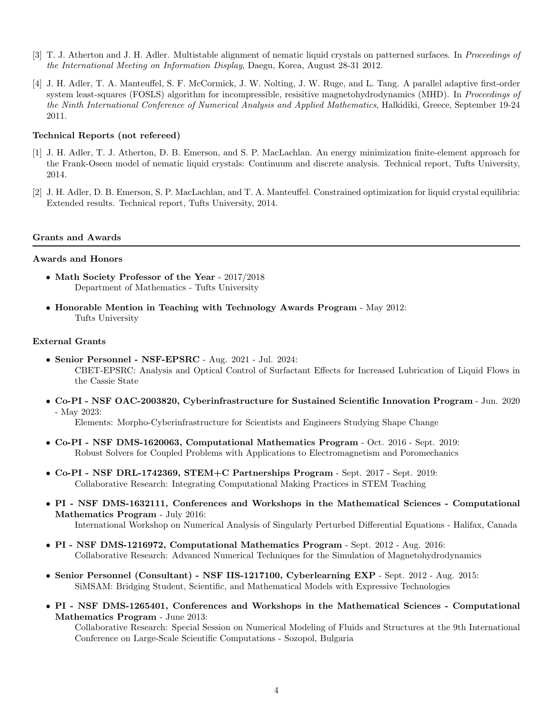- [3] T. J. Atherton and J. H. Adler. Multistable alignment of nematic liquid crystals on patterned surfaces. In Proceedings of the International Meeting on Information Display, Daegu, Korea, August 28-31 2012.
- [4] J. H. Adler, T. A. Manteuffel, S. F. McCormick, J. W. Nolting, J. W. Ruge, and L. Tang. A parallel adaptive first-order system least-squares (FOSLS) algorithm for incompressible, resisitive magnetohydrodynamics (MHD). In *Proceedings of* the Ninth International Conference of Numerical Analysis and Applied Mathematics, Halkidiki, Greece, September 19-24 2011.

### Technical Reports (not refereed)

- [1] J. H. Adler, T. J. Atherton, D. B. Emerson, and S. P. MacLachlan. An energy minimization finite-element approach for the Frank-Oseen model of nematic liquid crystals: Continuum and discrete analysis. Technical report, Tufts University, 2014.
- [2] J. H. Adler, D. B. Emerson, S. P. MacLachlan, and T. A. Manteuffel. Constrained optimization for liquid crystal equilibria: Extended results. Technical report, Tufts University, 2014.

### Grants and Awards

## Awards and Honors

- Math Society Professor of the Year 2017/2018 Department of Mathematics - Tufts University
- Honorable Mention in Teaching with Technology Awards Program May 2012: Tufts University

### External Grants

- Senior Personnel NSF-EPSRC Aug. 2021 Jul. 2024: CBET-EPSRC: Analysis and Optical Control of Surfactant Effects for Increased Lubrication of Liquid Flows in the Cassie State
- Co-PI NSF OAC-2003820, Cyberinfrastructure for Sustained Scientific Innovation Program Jun. 2020 - May 2023:

Elements: Morpho-Cyberinfrastructure for Scientists and Engineers Studying Shape Change

- Co-PI NSF DMS-1620063, Computational Mathematics Program Oct. 2016 Sept. 2019: Robust Solvers for Coupled Problems with Applications to Electromagnetism and Poromechanics
- Co-PI NSF DRL-1742369, STEM+C Partnerships Program Sept. 2017 Sept. 2019: Collaborative Research: Integrating Computational Making Practices in STEM Teaching
- PI NSF DMS-1632111, Conferences and Workshops in the Mathematical Sciences Computational Mathematics Program - July 2016: International Workshop on Numerical Analysis of Singularly Perturbed Differential Equations - Halifax, Canada
- PI NSF DMS-1216972, Computational Mathematics Program Sept. 2012 Aug. 2016: Collaborative Research: Advanced Numerical Techniques for the Simulation of Magnetohydrodynamics
- Senior Personnel (Consultant) NSF IIS-1217100, Cyberlearning EXP Sept. 2012 Aug. 2015: SiMSAM: Bridging Student, Scientific, and Mathematical Models with Expressive Technologies
- PI NSF DMS-1265401, Conferences and Workshops in the Mathematical Sciences Computational Mathematics Program - June 2013:

Collaborative Research: Special Session on Numerical Modeling of Fluids and Structures at the 9th International Conference on Large-Scale Scientific Computations - Sozopol, Bulgaria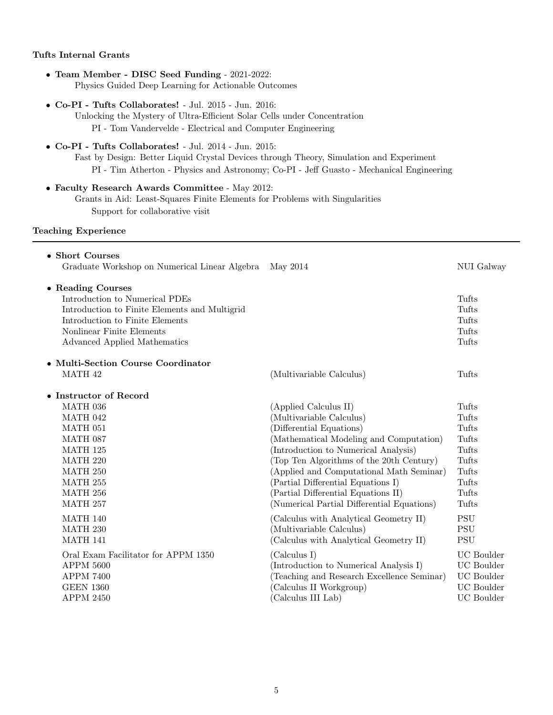## Tufts Internal Grants

- Team Member DISC Seed Funding 2021-2022: Physics Guided Deep Learning for Actionable Outcomes
- Co-PI Tufts Collaborates! Jul. 2015 Jun. 2016:
	- Unlocking the Mystery of Ultra-Efficient Solar Cells under Concentration PI - Tom Vandervelde - Electrical and Computer Engineering
- Co-PI Tufts Collaborates! Jul. 2014 Jun. 2015: Fast by Design: Better Liquid Crystal Devices through Theory, Simulation and Experiment PI - Tim Atherton - Physics and Astronomy; Co-PI - Jeff Guasto - Mechanical Engineering
- Faculty Research Awards Committee May 2012: Grants in Aid: Least-Squares Finite Elements for Problems with Singularities Support for collaborative visit

## Teaching Experience

| • Short Courses                               |                                            |                   |
|-----------------------------------------------|--------------------------------------------|-------------------|
| Graduate Workshop on Numerical Linear Algebra | May 2014                                   | NUI Galway        |
| • Reading Courses                             |                                            |                   |
| Introduction to Numerical PDEs                |                                            | Tufts             |
| Introduction to Finite Elements and Multigrid |                                            | Tufts             |
| Introduction to Finite Elements               |                                            | Tufts             |
| Nonlinear Finite Elements                     |                                            | Tufts             |
| Advanced Applied Mathematics                  |                                            | Tufts             |
| • Multi-Section Course Coordinator            |                                            |                   |
| MATH 42                                       | (Multivariable Calculus)                   | Tufts             |
| • Instructor of Record                        |                                            |                   |
| MATH 036                                      | (Applied Calculus II)                      | Tufts             |
| MATH 042                                      | (Multivariable Calculus)                   | Tufts             |
| MATH 051                                      | (Differential Equations)                   | Tufts             |
| MATH 087                                      | (Mathematical Modeling and Computation)    | Tufts             |
| MATH 125                                      | (Introduction to Numerical Analysis)       | Tufts             |
| MATH 220                                      | Top Ten Algorithms of the 20th Century)    | Tufts             |
| MATH 250                                      | (Applied and Computational Math Seminar)   | Tufts             |
| MATH 255                                      | (Partial Differential Equations I)         | Tufts             |
| MATH 256                                      | (Partial Differential Equations II)        | Tufts             |
| MATH 257                                      | (Numerical Partial Differential Equations) | Tufts             |
| <b>MATH 140</b>                               | (Calculus with Analytical Geometry II)     | <b>PSU</b>        |
| MATH 230                                      | (Multivariable Calculus)                   | <b>PSU</b>        |
| <b>MATH 141</b>                               | (Calculus with Analytical Geometry II)     | <b>PSU</b>        |
| Oral Exam Facilitator for APPM 1350           | (Calculus I)                               | <b>UC</b> Boulder |
| <b>APPM 5600</b>                              | (Introduction to Numerical Analysis I)     | UC Boulder        |
| <b>APPM 7400</b>                              | Teaching and Research Excellence Seminar)  | <b>UC</b> Boulder |
| <b>GEEN 1360</b>                              | (Calculus II Workgroup)                    | <b>UC</b> Boulder |
| <b>APPM 2450</b>                              | (Calculus III Lab)                         | <b>UC</b> Boulder |
|                                               |                                            |                   |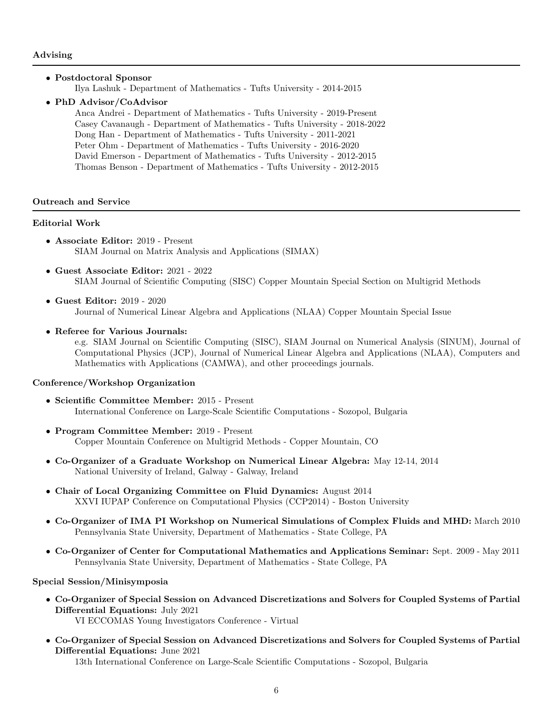### • Postdoctoral Sponsor

Ilya Lashuk - Department of Mathematics - Tufts University - 2014-2015

## • PhD Advisor/CoAdvisor

Anca Andrei - Department of Mathematics - Tufts University - 2019-Present Casey Cavanaugh - Department of Mathematics - Tufts University - 2018-2022 Dong Han - Department of Mathematics - Tufts University - 2011-2021 Peter Ohm - Department of Mathematics - Tufts University - 2016-2020 David Emerson - Department of Mathematics - Tufts University - 2012-2015 Thomas Benson - Department of Mathematics - Tufts University - 2012-2015

## Outreach and Service

## Editorial Work

- Associate Editor: 2019 Present SIAM Journal on Matrix Analysis and Applications (SIMAX)
- Guest Associate Editor: 2021 2022 SIAM Journal of Scientific Computing (SISC) Copper Mountain Special Section on Multigrid Methods
- Guest Editor: 2019 2020 Journal of Numerical Linear Algebra and Applications (NLAA) Copper Mountain Special Issue
- Referee for Various Journals:

e.g. SIAM Journal on Scientific Computing (SISC), SIAM Journal on Numerical Analysis (SINUM), Journal of Computational Physics (JCP), Journal of Numerical Linear Algebra and Applications (NLAA), Computers and Mathematics with Applications (CAMWA), and other proceedings journals.

# Conference/Workshop Organization

- Scientific Committee Member: 2015 Present International Conference on Large-Scale Scientific Computations - Sozopol, Bulgaria
- Program Committee Member: 2019 Present Copper Mountain Conference on Multigrid Methods - Copper Mountain, CO
- Co-Organizer of a Graduate Workshop on Numerical Linear Algebra: May 12-14, 2014 National University of Ireland, Galway - Galway, Ireland
- Chair of Local Organizing Committee on Fluid Dynamics: August 2014 XXVI IUPAP Conference on Computational Physics (CCP2014) - Boston University
- Co-Organizer of IMA PI Workshop on Numerical Simulations of Complex Fluids and MHD: March 2010 Pennsylvania State University, Department of Mathematics - State College, PA
- Co-Organizer of Center for Computational Mathematics and Applications Seminar: Sept. 2009 May 2011 Pennsylvania State University, Department of Mathematics - State College, PA

Special Session/Minisymposia

• Co-Organizer of Special Session on Advanced Discretizations and Solvers for Coupled Systems of Partial Differential Equations: July 2021

VI ECCOMAS Young Investigators Conference - Virtual

• Co-Organizer of Special Session on Advanced Discretizations and Solvers for Coupled Systems of Partial Differential Equations: June 2021

13th International Conference on Large-Scale Scientific Computations - Sozopol, Bulgaria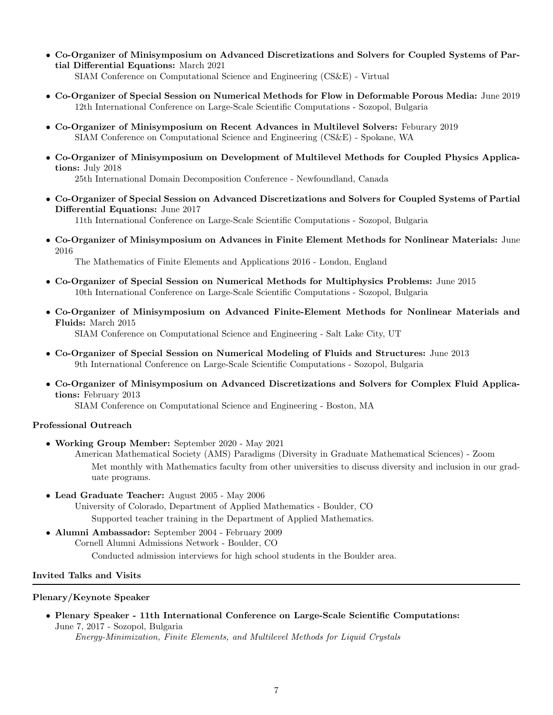- Co-Organizer of Minisymposium on Advanced Discretizations and Solvers for Coupled Systems of Partial Differential Equations: March 2021 SIAM Conference on Computational Science and Engineering (CS&E) - Virtual
- Co-Organizer of Special Session on Numerical Methods for Flow in Deformable Porous Media: June 2019 12th International Conference on Large-Scale Scientific Computations - Sozopol, Bulgaria
- Co-Organizer of Minisymposium on Recent Advances in Multilevel Solvers: Feburary 2019 SIAM Conference on Computational Science and Engineering (CS&E) - Spokane, WA
- Co-Organizer of Minisymposium on Development of Multilevel Methods for Coupled Physics Applications: July 2018

25th International Domain Decomposition Conference - Newfoundland, Canada

• Co-Organizer of Special Session on Advanced Discretizations and Solvers for Coupled Systems of Partial Differential Equations: June 2017

11th International Conference on Large-Scale Scientific Computations - Sozopol, Bulgaria

• Co-Organizer of Minisymposium on Advances in Finite Element Methods for Nonlinear Materials: June 2016

The Mathematics of Finite Elements and Applications 2016 - London, England

- Co-Organizer of Special Session on Numerical Methods for Multiphysics Problems: June 2015 10th International Conference on Large-Scale Scientific Computations - Sozopol, Bulgaria
- Co-Organizer of Minisymposium on Advanced Finite-Element Methods for Nonlinear Materials and Fluids: March 2015

SIAM Conference on Computational Science and Engineering - Salt Lake City, UT

- Co-Organizer of Special Session on Numerical Modeling of Fluids and Structures: June 2013 9th International Conference on Large-Scale Scientific Computations - Sozopol, Bulgaria
- Co-Organizer of Minisymposium on Advanced Discretizations and Solvers for Complex Fluid Applications: February 2013

SIAM Conference on Computational Science and Engineering - Boston, MA

# Professional Outreach

• Working Group Member: September 2020 - May 2021

American Mathematical Society (AMS) Paradigms (Diversity in Graduate Mathematical Sciences) - Zoom Met monthly with Mathematics faculty from other universities to discuss diversity and inclusion in our graduate programs.

• Lead Graduate Teacher: August 2005 - May 2006 University of Colorado, Department of Applied Mathematics - Boulder, CO

Supported teacher training in the Department of Applied Mathematics.

• Alumni Ambassador: September 2004 - February 2009 Cornell Alumni Admissions Network - Boulder, CO Conducted admission interviews for high school students in the Boulder area.

# Invited Talks and Visits

# Plenary/Keynote Speaker

• Plenary Speaker - 11th International Conference on Large-Scale Scientific Computations: June 7, 2017 - Sozopol, Bulgaria Energy-Minimization, Finite Elements, and Multilevel Methods for Liquid Crystals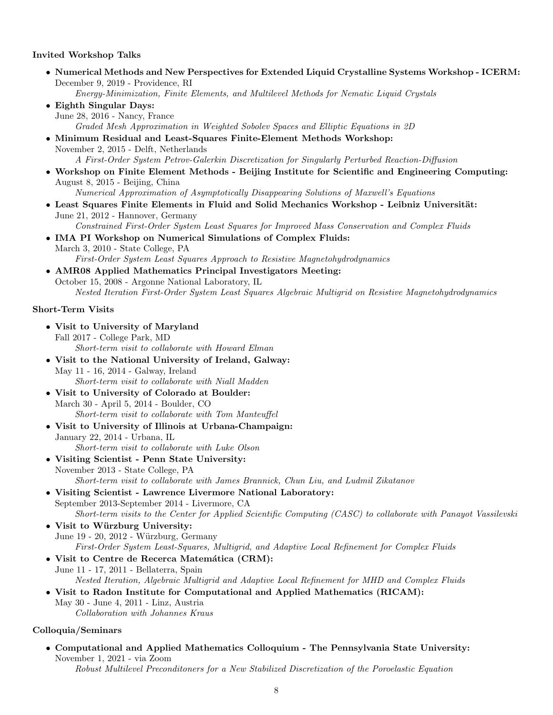## Invited Workshop Talks

- Numerical Methods and New Perspectives for Extended Liquid Crystalline Systems Workshop ICERM: December 9, 2019 - Providence, RI Energy-Minimization, Finite Elements, and Multilevel Methods for Nematic Liquid Crystals • Eighth Singular Days: June 28, 2016 - Nancy, France
	- Graded Mesh Approximation in Weighted Sobolev Spaces and Elliptic Equations in 2D
- Minimum Residual and Least-Squares Finite-Element Methods Workshop: November 2, 2015 - Delft, Netherlands A First-Order System Petrov-Galerkin Discretization for Singularly Perturbed Reaction-Diffusion
- Workshop on Finite Element Methods Beijing Institute for Scientific and Engineering Computing: August 8, 2015 - Beijing, China Numerical Approximation of Asymptotically Disappearing Solutions of Maxwell's Equations
- Least Squares Finite Elements in Fluid and Solid Mechanics Workshop Leibniz Universität: June 21, 2012 - Hannover, Germany Constrained First-Order System Least Squares for Improved Mass Conservation and Complex Fluids
- IMA PI Workshop on Numerical Simulations of Complex Fluids:
- March 3, 2010 State College, PA First-Order System Least Squares Approach to Resistive Magnetohydrodynamics
- AMR08 Applied Mathematics Principal Investigators Meeting: October 15, 2008 - Argonne National Laboratory, IL Nested Iteration First-Order System Least Squares Algebraic Multigrid on Resistive Magnetohydrodynamics

### Short-Term Visits

- Visit to University of Maryland Fall 2017 - College Park, MD Short-term visit to collaborate with Howard Elman
- Visit to the National University of Ireland, Galway: May 11 - 16, 2014 - Galway, Ireland Short-term visit to collaborate with Niall Madden
- Visit to University of Colorado at Boulder: March 30 - April 5, 2014 - Boulder, CO Short-term visit to collaborate with Tom Manteuffel
- Visit to University of Illinois at Urbana-Champaign: January 22, 2014 - Urbana, IL Short-term visit to collaborate with Luke Olson
- Visiting Scientist Penn State University: November 2013 - State College, PA Short-term visit to collaborate with James Brannick, Chun Liu, and Ludmil Zikatanov
- Visiting Scientist Lawrence Livermore National Laboratory: September 2013-September 2014 - Livermore, CA Short-term visits to the Center for Applied Scientific Computing (CASC) to collaborate with Panayot Vassilevski
- Visit to Würzburg University: June 19 - 20, 2012 - Würzburg, Germany First-Order System Least-Squares, Multigrid, and Adaptive Local Refinement for Complex Fluids
- Visit to Centre de Recerca Matemática (CRM): June 11 - 17, 2011 - Bellaterra, Spain Nested Iteration, Algebraic Multigrid and Adaptive Local Refinement for MHD and Complex Fluids
- Visit to Radon Institute for Computational and Applied Mathematics (RICAM): May 30 - June 4, 2011 - Linz, Austria Collaboration with Johannes Kraus

### Colloquia/Seminars

• Computational and Applied Mathematics Colloquium - The Pennsylvania State University: November 1, 2021 - via Zoom Robust Multilevel Preconditoners for a New Stabilized Discretization of the Poroelastic Equation